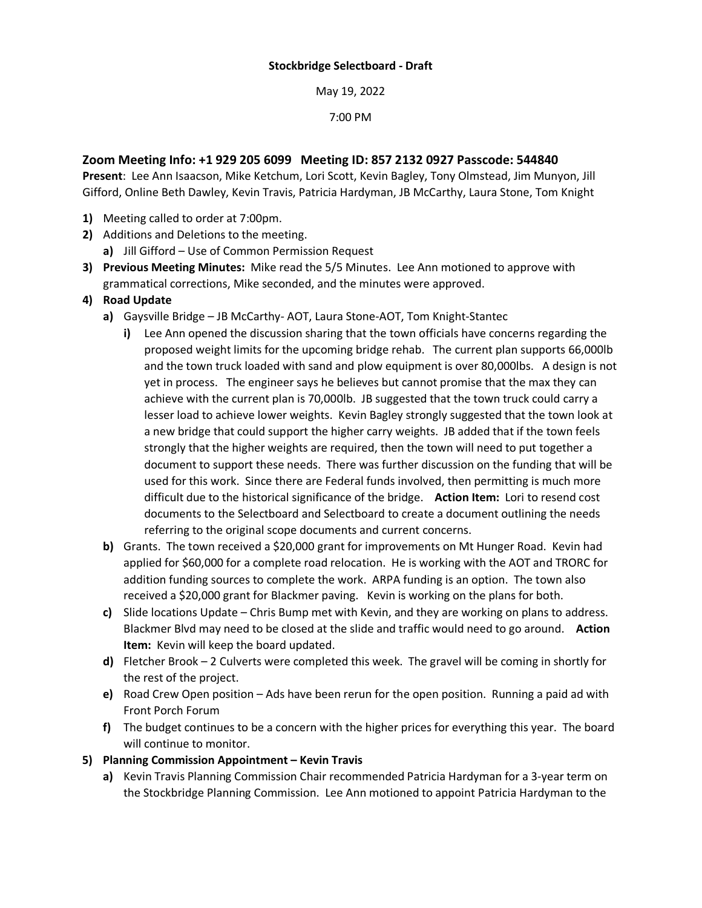May 19, 2022

7:00 PM

## **Zoom Meeting Info: +1 929 205 6099 Meeting ID: 857 2132 0927 Passcode: 544840**

**Present**: Lee Ann Isaacson, Mike Ketchum, Lori Scott, Kevin Bagley, Tony Olmstead, Jim Munyon, Jill Gifford, Online Beth Dawley, Kevin Travis, Patricia Hardyman, JB McCarthy, Laura Stone, Tom Knight

- **1)** Meeting called to order at 7:00pm.
- **2)** Additions and Deletions to the meeting.
	- **a)** Jill Gifford Use of Common Permission Request
- **3) Previous Meeting Minutes:** Mike read the 5/5 Minutes. Lee Ann motioned to approve with grammatical corrections, Mike seconded, and the minutes were approved.
- **4) Road Update**
	- **a)** Gaysville Bridge JB McCarthy- AOT, Laura Stone-AOT, Tom Knight-Stantec
		- **i)** Lee Ann opened the discussion sharing that the town officials have concerns regarding the proposed weight limits for the upcoming bridge rehab. The current plan supports 66,000lb and the town truck loaded with sand and plow equipment is over 80,000lbs. A design is not yet in process. The engineer says he believes but cannot promise that the max they can achieve with the current plan is 70,000lb. JB suggested that the town truck could carry a lesser load to achieve lower weights. Kevin Bagley strongly suggested that the town look at a new bridge that could support the higher carry weights. JB added that if the town feels strongly that the higher weights are required, then the town will need to put together a document to support these needs. There was further discussion on the funding that will be used for this work. Since there are Federal funds involved, then permitting is much more difficult due to the historical significance of the bridge. **Action Item:** Lori to resend cost documents to the Selectboard and Selectboard to create a document outlining the needs referring to the original scope documents and current concerns.
	- **b)** Grants. The town received a \$20,000 grant for improvements on Mt Hunger Road. Kevin had applied for \$60,000 for a complete road relocation. He is working with the AOT and TRORC for addition funding sources to complete the work. ARPA funding is an option. The town also received a \$20,000 grant for Blackmer paving. Kevin is working on the plans for both.
	- **c)** Slide locations Update Chris Bump met with Kevin, and they are working on plans to address. Blackmer Blvd may need to be closed at the slide and traffic would need to go around. **Action Item:** Kevin will keep the board updated.
	- **d)** Fletcher Brook 2 Culverts were completed this week. The gravel will be coming in shortly for the rest of the project.
	- **e)** Road Crew Open position Ads have been rerun for the open position. Running a paid ad with Front Porch Forum
	- **f)** The budget continues to be a concern with the higher prices for everything this year. The board will continue to monitor.
- **5) Planning Commission Appointment – Kevin Travis**
	- **a)** Kevin Travis Planning Commission Chair recommended Patricia Hardyman for a 3-year term on the Stockbridge Planning Commission. Lee Ann motioned to appoint Patricia Hardyman to the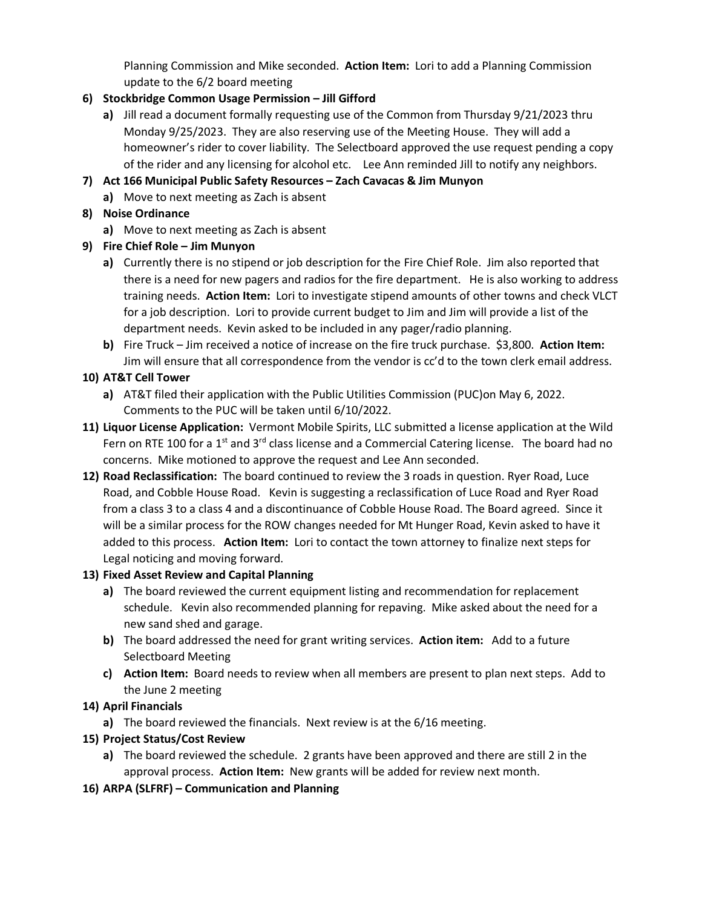Planning Commission and Mike seconded. **Action Item:** Lori to add a Planning Commission update to the 6/2 board meeting

# **6) Stockbridge Common Usage Permission – Jill Gifford**

- **a)** Jill read a document formally requesting use of the Common from Thursday 9/21/2023 thru Monday 9/25/2023. They are also reserving use of the Meeting House. They will add a homeowner's rider to cover liability. The Selectboard approved the use request pending a copy of the rider and any licensing for alcohol etc. Lee Ann reminded Jill to notify any neighbors.
- **7) Act 166 Municipal Public Safety Resources – Zach Cavacas & Jim Munyon** 
	- **a)** Move to next meeting as Zach is absent

# **8) Noise Ordinance**

- **a)** Move to next meeting as Zach is absent
- **9) Fire Chief Role – Jim Munyon**
	- **a)** Currently there is no stipend or job description for the Fire Chief Role. Jim also reported that there is a need for new pagers and radios for the fire department. He is also working to address training needs. **Action Item:** Lori to investigate stipend amounts of other towns and check VLCT for a job description. Lori to provide current budget to Jim and Jim will provide a list of the department needs. Kevin asked to be included in any pager/radio planning.
	- **b)** Fire Truck Jim received a notice of increase on the fire truck purchase. \$3,800. **Action Item:**  Jim will ensure that all correspondence from the vendor is cc'd to the town clerk email address.

# **10) AT&T Cell Tower**

- **a)** AT&T filed their application with the Public Utilities Commission (PUC)on May 6, 2022. Comments to the PUC will be taken until 6/10/2022.
- **11) Liquor License Application:** Vermont Mobile Spirits, LLC submitted a license application at the Wild Fern on RTE 100 for a 1<sup>st</sup> and 3<sup>rd</sup> class license and a Commercial Catering license. The board had no concerns. Mike motioned to approve the request and Lee Ann seconded.
- **12) Road Reclassification:** The board continued to review the 3 roads in question. Ryer Road, Luce Road, and Cobble House Road. Kevin is suggesting a reclassification of Luce Road and Ryer Road from a class 3 to a class 4 and a discontinuance of Cobble House Road. The Board agreed. Since it will be a similar process for the ROW changes needed for Mt Hunger Road, Kevin asked to have it added to this process. **Action Item:** Lori to contact the town attorney to finalize next steps for Legal noticing and moving forward.

## **13) Fixed Asset Review and Capital Planning**

- **a)** The board reviewed the current equipment listing and recommendation for replacement schedule. Kevin also recommended planning for repaving. Mike asked about the need for a new sand shed and garage.
- **b)** The board addressed the need for grant writing services. **Action item:** Add to a future Selectboard Meeting
- **c) Action Item:** Board needs to review when all members are present to plan next steps. Add to the June 2 meeting

## **14) April Financials**

**a)** The board reviewed the financials. Next review is at the 6/16 meeting.

## **15) Project Status/Cost Review**

- **a)** The board reviewed the schedule. 2 grants have been approved and there are still 2 in the approval process. **Action Item:** New grants will be added for review next month.
- **16) ARPA (SLFRF) – Communication and Planning**